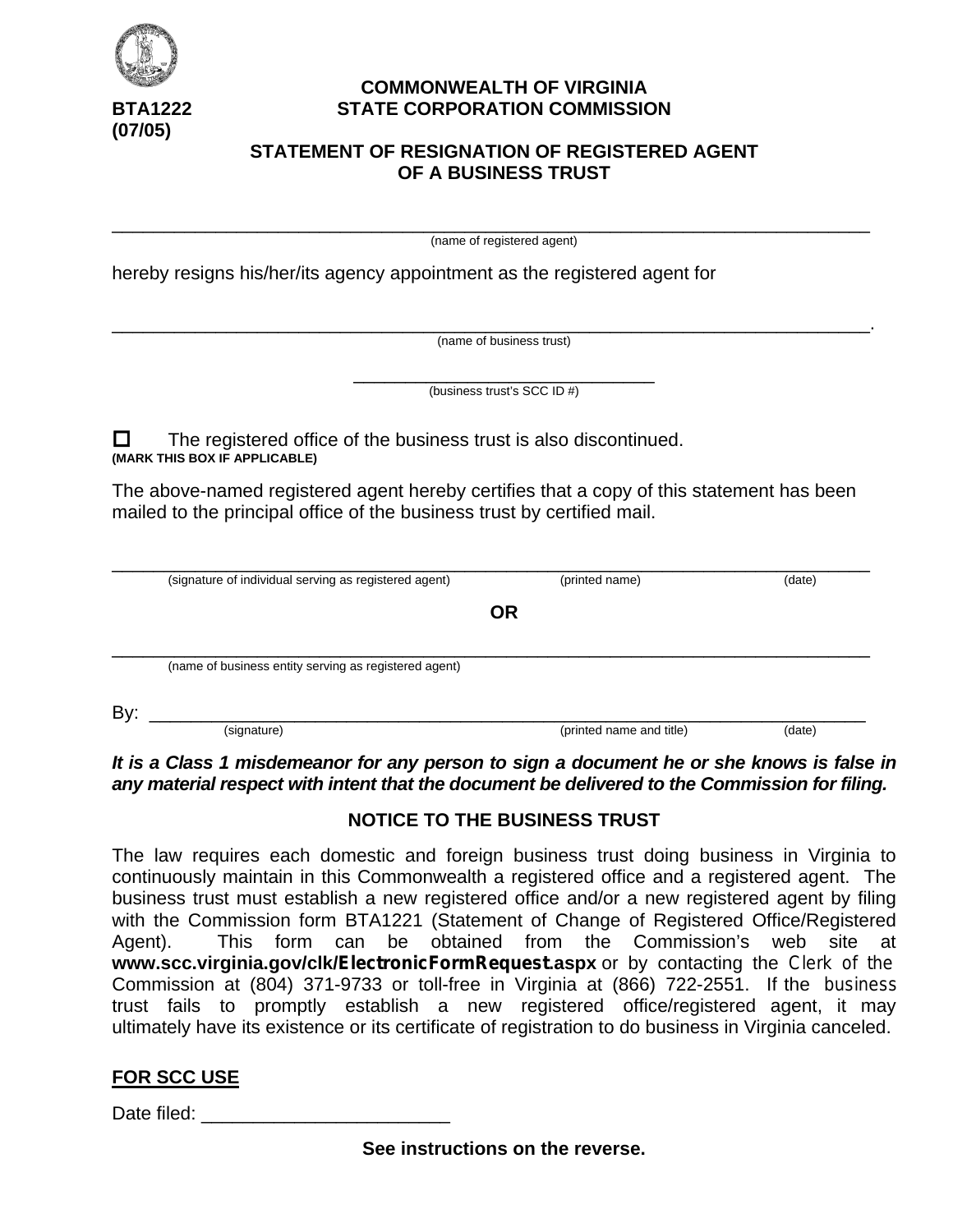

**(07/05)**

## **COMMONWEALTH OF VIRGINIA BTA1222 STATE CORPORATION COMMISSION**

## **STATEMENT OF RESIGNATION OF REGISTERED AGENT OF A BUSINESS TRUST**

\_\_\_\_\_\_\_\_\_\_\_\_\_\_\_\_\_\_\_\_\_\_\_\_\_\_\_\_\_\_\_\_\_\_\_\_\_\_\_\_\_\_\_\_\_\_\_\_\_\_\_\_\_\_\_\_\_\_\_\_\_\_\_\_\_\_\_\_\_\_\_\_\_ (name of registered agent)

hereby resigns his/her/its agency appointment as the registered agent for

\_\_\_\_\_\_\_\_\_\_\_\_\_\_\_\_\_\_\_\_\_\_\_\_\_\_\_\_\_\_\_\_\_\_\_\_\_\_\_\_\_\_\_\_\_\_\_\_\_\_\_\_\_\_\_\_\_\_\_\_\_\_\_\_\_\_\_\_\_\_\_\_\_. (name of business trust)

> \_\_\_\_\_\_\_\_\_\_\_\_\_\_\_\_\_\_\_\_\_\_\_\_\_\_\_\_\_ (business trust's SCC ID #)

 $\Box$  The registered office of the business trust is also discontinued. **(MARK THIS BOX IF APPLICABLE)**

The above-named registered agent hereby certifies that a copy of this statement has been mailed to the principal office of the business trust by certified mail.

| (signature of individual serving as registered agent) | (printed name)           | (date) |
|-------------------------------------------------------|--------------------------|--------|
|                                                       | OR                       |        |
| (name of business entity serving as registered agent) |                          |        |
| By:                                                   |                          |        |
| (signature)                                           | (printed name and title) | (date) |

*It is a Class 1 misdemeanor for any person to sign a document he or she knows is false in any material respect with intent that the document be delivered to the Commission for filing.*

# **NOTICE TO THE BUSINESS TRUST**

The law requires each domestic and foreign business trust doing business in Virginia to continuously maintain in this Commonwealth a registered office and a registered agent. The business trust must establish a new registered office and/or a new registered agent by filing with the Commission form BTA1221 (Statement of Change of Registered Office/Registered Agent). This form can be obtained from the Commission's web site at **www.scc.virginia.gov/clk/ElectronicFormRequest.aspx** or by contacting the Clerk of the Commission at (804) 371-9733 or toll-free in Virginia at (866) 722-2551. If the business trust fails to promptly establish a new registered office/registered agent, it may ultimately have its existence or its certificate of registration to do business in Virginia canceled.

# **FOR SCC USE**

Date filed:

**See instructions on the reverse.**